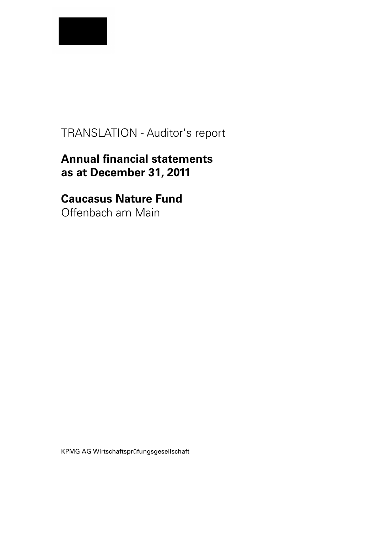

# TRANSLATION - Auditor's report

# **Annual financial statements as at December 31, 2011**

# **Caucasus Nature Fund**

Offenbach am Main

KPMG AG Wirtschaftsprüfungsgesellschaft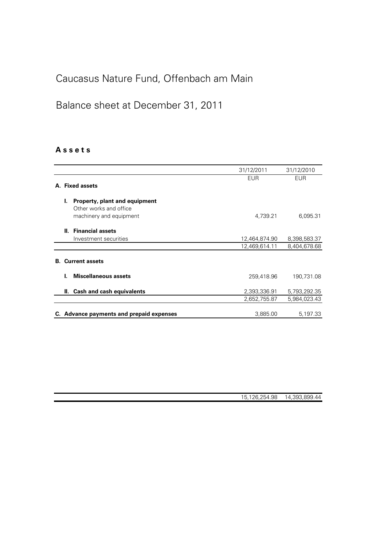# Caucasus Nature Fund, Offenbach am Main

# Balance sheet at December 31, 2011

## **A s s e t s**

|    |    |                                                                                    | 31/12/2011                     | 31/12/2010                   |
|----|----|------------------------------------------------------------------------------------|--------------------------------|------------------------------|
|    |    | A. Fixed assets                                                                    | <b>EUR</b>                     | <b>EUR</b>                   |
|    | L. | Property, plant and equipment<br>Other works and office<br>machinery and equipment | 4,739.21                       | 6,095.31                     |
|    |    | II. Financial assets<br>Investment securities                                      | 12,464,874.90<br>12,469,614.11 | 8,398,583.37<br>8,404,678.68 |
| В. |    | <b>Current assets</b>                                                              |                                |                              |
|    | L  | <b>Miscellaneous assets</b>                                                        | 259,418.96                     | 190,731.08                   |
|    | Ш. | <b>Cash and cash equivalents</b>                                                   | 2,393,336.91<br>2,652,755.87   | 5,793,292.35<br>5,984,023.43 |
|    |    | C. Advance payments and prepaid expenses                                           | 3,885.00                       | 5,197.33                     |

| 14,393,899.44<br>15,126,254.98 |
|--------------------------------|
|--------------------------------|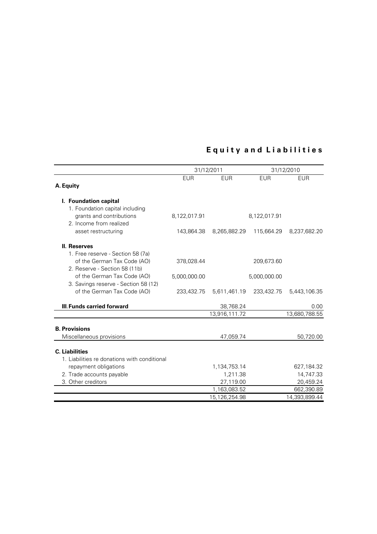## **E q u i t y a n d L i a b i l i t i e s**

|                                                     | 31/12/2011   |               | 31/12/2010   |               |
|-----------------------------------------------------|--------------|---------------|--------------|---------------|
|                                                     | <b>EUR</b>   | <b>EUR</b>    | <b>EUR</b>   | EUR           |
| A. Equity                                           |              |               |              |               |
|                                                     |              |               |              |               |
| I. Foundation capital                               |              |               |              |               |
| 1. Foundation capital including                     |              |               |              |               |
| grants and contributions<br>2. Income from realized | 8,122,017.91 |               | 8,122,017.91 |               |
|                                                     | 143,864.38   |               |              |               |
| asset restructuring                                 |              | 8,265,882.29  | 115,664.29   | 8,237,682.20  |
| <b>II. Reserves</b>                                 |              |               |              |               |
| 1. Free reserve - Section 58 (7a)                   |              |               |              |               |
| of the German Tax Code (AO)                         | 378,028.44   |               | 209,673.60   |               |
| 2. Reserve - Section 58 (11b)                       |              |               |              |               |
| of the German Tax Code (AO)                         | 5,000,000.00 |               | 5,000,000.00 |               |
| 3. Savings reserve - Section 58 (12)                |              |               |              |               |
| of the German Tax Code (AO)                         | 233,432.75   | 5,611,461.19  | 233,432.75   | 5,443,106.35  |
|                                                     |              |               |              |               |
| III Funds carried forward                           |              | 38,768.24     |              | 0.00          |
|                                                     |              | 13,916,111.72 |              | 13,680,788.55 |
| <b>B. Provisions</b>                                |              |               |              |               |
| Miscellaneous provisions                            |              | 47,059.74     |              | 50,720.00     |
|                                                     |              |               |              |               |
| <b>C.</b> Liabilities                               |              |               |              |               |
| 1. Liabilities re donations with conditional        |              |               |              |               |
| repayment obligations                               |              | 1,134,753.14  |              | 627,184.32    |
| 2. Trade accounts payable                           |              | 1,211.38      |              | 14,747.33     |
| 3. Other creditors                                  |              | 27,119.00     |              | 20,459.24     |
|                                                     |              | 1,163,083.52  |              | 662,390.89    |
|                                                     |              | 15,126,254.98 |              | 14,393,899.44 |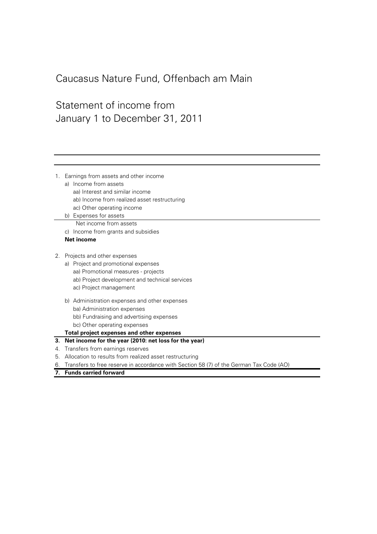## Caucasus Nature Fund, Offenbach am Main

## Statement of income from January 1 to December 31, 2011

1. Earnings from assets and other income a) Income from assets aa) Interest and similar income ab) Income from realized asset restructuring ac) Other operating income b) Expenses for assets c) Income from grants and subsidies **Net income** 2. Projects and other expenses a) Project and promotional expenses aa) Promotional measures - projects ab) Project development and technical services ac) Project management b) Administration expenses and other expenses ba) Administration expenses bb) Fundraising and advertising expenses bc) Other operating expenses **Total project expenses and other expenses 3. Net income for the year (2010: net loss for the year)** 4. Transfers from earnings reserves 5. Allocation to results from realized asset restructuring 6. Transfers to free reserve in accordance with Section 58 (7) of the German Tax Code (AO) **7. Funds carried forward** Net income from assets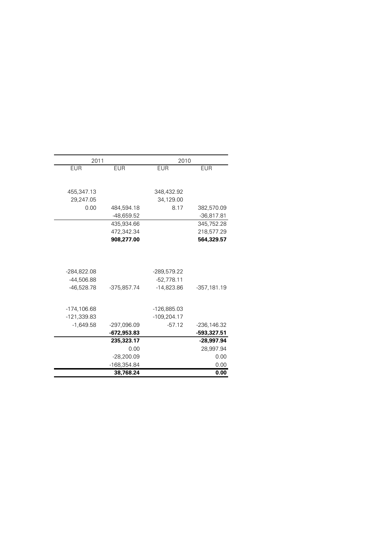| 2011           |              | 2010           |               |
|----------------|--------------|----------------|---------------|
| <b>EUR</b>     | <b>EUR</b>   | <b>EUR</b>     | <b>EUR</b>    |
|                |              |                |               |
|                |              |                |               |
| 455,347.13     |              | 348,432.92     |               |
| 29,247.05      |              | 34,129.00      |               |
| 0.00           | 484,594.18   | 8.17           | 382,570.09    |
|                | $-48,659.52$ |                | $-36,817.81$  |
|                | 435,934.66   |                | 345,752.28    |
|                | 472,342.34   |                | 218,577.29    |
|                | 908,277.00   |                | 564,329.57    |
|                |              |                |               |
|                |              |                |               |
| $-284,822.08$  |              | -289,579.22    |               |
| -44,506.88     |              | $-52,778.11$   |               |
| $-46,528.78$   | -375,857.74  | $-14,823.86$   | $-357,181.19$ |
|                |              |                |               |
| $-174, 106.68$ |              | -126,885.03    |               |
| -121,339.83    |              | $-109, 204.17$ |               |
| $-1,649.58$    | -297,096.09  | $-57.12$       | -236,146.32   |
|                | -672,953.83  |                | -593,327.51   |
|                | 235,323.17   |                | -28,997.94    |
|                | 0.00         |                | 28,997.94     |
|                | $-28,200.09$ |                | 0.00          |
|                | -168,354.84  |                | 0.00          |
|                | 38,768.24    |                | 0.00          |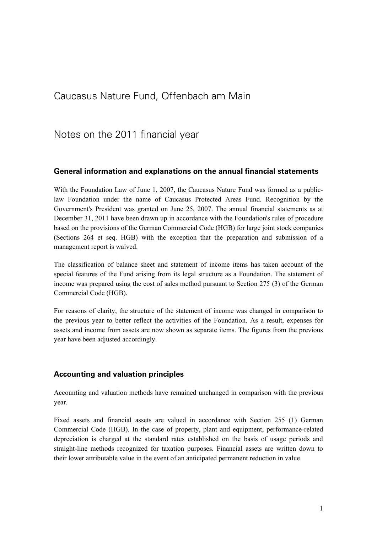## Caucasus Nature Fund, Offenbach am Main

## Notes on the 2011 financial year

## **General information and explanations on the annual financial statements**

With the Foundation Law of June 1, 2007, the Caucasus Nature Fund was formed as a publiclaw Foundation under the name of Caucasus Protected Areas Fund. Recognition by the Government's President was granted on June 25, 2007. The annual financial statements as at December 31, 2011 have been drawn up in accordance with the Foundation's rules of procedure based on the provisions of the German Commercial Code (HGB) for large joint stock companies (Sections 264 et seq. HGB) with the exception that the preparation and submission of a management report is waived.

The classification of balance sheet and statement of income items has taken account of the special features of the Fund arising from its legal structure as a Foundation. The statement of income was prepared using the cost of sales method pursuant to Section 275 (3) of the German Commercial Code (HGB).

For reasons of clarity, the structure of the statement of income was changed in comparison to the previous year to better reflect the activities of the Foundation. As a result, expenses for assets and income from assets are now shown as separate items. The figures from the previous year have been adjusted accordingly.

### **Accounting and valuation principles**

Accounting and valuation methods have remained unchanged in comparison with the previous year.

Fixed assets and financial assets are valued in accordance with Section 255 (1) German Commercial Code (HGB). In the case of property, plant and equipment, performance-related depreciation is charged at the standard rates established on the basis of usage periods and straight-line methods recognized for taxation purposes. Financial assets are written down to their lower attributable value in the event of an anticipated permanent reduction in value.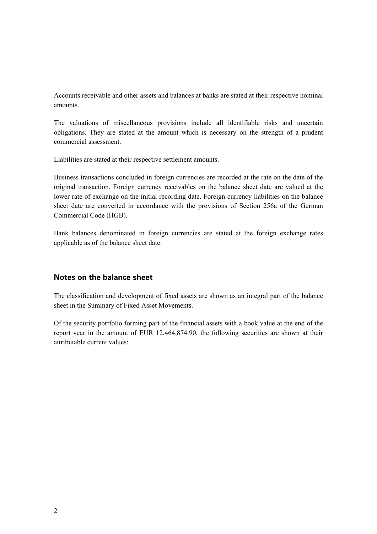Accounts receivable and other assets and balances at banks are stated at their respective nominal amounts.

The valuations of miscellaneous provisions include all identifiable risks and uncertain obligations. They are stated at the amount which is necessary on the strength of a prudent commercial assessment.

Liabilities are stated at their respective settlement amounts.

Business transactions concluded in foreign currencies are recorded at the rate on the date of the original transaction. Foreign currency receivables on the balance sheet date are valued at the lower rate of exchange on the initial recording date. Foreign currency liabilities on the balance sheet date are converted in accordance with the provisions of Section 256a of the German Commercial Code (HGB).

Bank balances denominated in foreign currencies are stated at the foreign exchange rates applicable as of the balance sheet date.

## **Notes on the balance sheet**

The classification and development of fixed assets are shown as an integral part of the balance sheet in the Summary of Fixed Asset Movements.

Of the security portfolio forming part of the financial assets with a book value at the end of the report year in the amount of EUR 12,464,874.90, the following securities are shown at their attributable current values: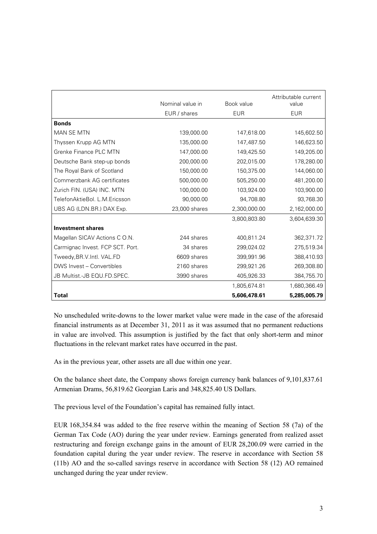|                                  | Nominal value in | Book value   | Attributable current<br>value |
|----------------------------------|------------------|--------------|-------------------------------|
|                                  | EUR / shares     | <b>EUR</b>   | <b>EUR</b>                    |
| <b>Bonds</b>                     |                  |              |                               |
| MAN SE MTN                       | 139,000.00       | 147,618.00   | 145,602.50                    |
| Thyssen Krupp AG MTN             | 135,000.00       | 147,487.50   | 146,623.50                    |
| Grenke Finance PLC MTN           | 147,000.00       | 149,425.50   | 149,205.00                    |
| Deutsche Bank step-up bonds      | 200,000.00       | 202,015.00   | 178,280.00                    |
| The Royal Bank of Scotland       | 150,000.00       | 150,375.00   | 144,060.00                    |
| Commerzbank AG certificates      | 500,000.00       | 505,250.00   | 481,200.00                    |
| Zurich FIN. (USA) INC. MTN       | 100,000.00       | 103,924.00   | 103,900.00                    |
| TelefonAktieBol, L.M.Ericsson    | 90,000.00        | 94,708.80    | 93,768.30                     |
| UBS AG (LDN.BR.) DAX Exp.        | 23,000 shares    | 2,300,000.00 | 2,162,000.00                  |
|                                  |                  | 3,800,803.80 | 3,604,639.30                  |
| <b>Investment shares</b>         |                  |              |                               |
| Magellan SICAV Actions CO.N.     | 244 shares       | 400,811.24   | 362,371.72                    |
| Carmignac Invest. FCP SCT. Port. | 34 shares        | 299,024.02   | 275,519.34                    |
| Tweedy, BR.V.Intl. VAL.FD        | 6609 shares      | 399,991.96   | 388,410.93                    |
| DWS Invest - Convertibles        | 2160 shares      | 299,921.26   | 269,308.80                    |
| JB Multist.-JB EQU.FD.SPEC.      | 3990 shares      | 405,926.33   | 384,755.70                    |
|                                  |                  | 1,805,674.81 | 1,680,366.49                  |
| <b>Total</b>                     |                  | 5,606,478.61 | 5,285,005.79                  |

No unscheduled write-downs to the lower market value were made in the case of the aforesaid financial instruments as at December 31, 2011 as it was assumed that no permanent reductions in value are involved. This assumption is justified by the fact that only short-term and minor fluctuations in the relevant market rates have occurred in the past.

As in the previous year, other assets are all due within one year.

On the balance sheet date, the Company shows foreign currency bank balances of 9,101,837.61 Armenian Drams, 56,819.62 Georgian Laris and 348,825.40 US Dollars.

The previous level of the Foundation's capital has remained fully intact.

EUR 168,354.84 was added to the free reserve within the meaning of Section 58 (7a) of the German Tax Code (AO) during the year under review. Earnings generated from realized asset restructuring and foreign exchange gains in the amount of EUR 28,200.09 were carried in the foundation capital during the year under review. The reserve in accordance with Section 58 (11b) AO and the so-called savings reserve in accordance with Section 58 (12) AO remained unchanged during the year under review.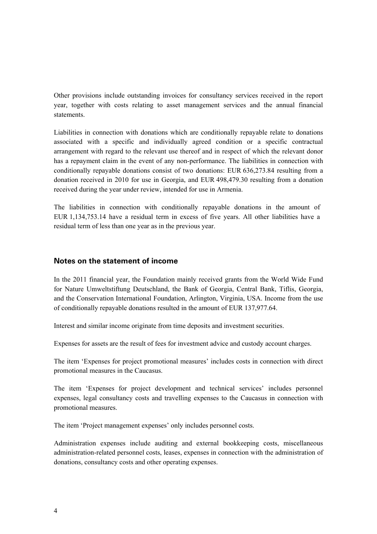Other provisions include outstanding invoices for consultancy services received in the report year, together with costs relating to asset management services and the annual financial statements.

Liabilities in connection with donations which are conditionally repayable relate to donations associated with a specific and individually agreed condition or a specific contractual arrangement with regard to the relevant use thereof and in respect of which the relevant donor has a repayment claim in the event of any non-performance. The liabilities in connection with conditionally repayable donations consist of two donations: EUR 636,273.84 resulting from a donation received in 2010 for use in Georgia, and EUR 498,479.30 resulting from a donation received during the year under review, intended for use in Armenia.

The liabilities in connection with conditionally repayable donations in the amount of EUR 1,134,753.14 have a residual term in excess of five years. All other liabilities have a residual term of less than one year as in the previous year.

### **Notes on the statement of income**

In the 2011 financial year, the Foundation mainly received grants from the World Wide Fund for Nature Umweltstiftung Deutschland, the Bank of Georgia, Central Bank, Tiflis, Georgia, and the Conservation International Foundation, Arlington, Virginia, USA. Income from the use of conditionally repayable donations resulted in the amount of EUR 137,977.64.

Interest and similar income originate from time deposits and investment securities.

Expenses for assets are the result of fees for investment advice and custody account charges.

The item 'Expenses for project promotional measures' includes costs in connection with direct promotional measures in the Caucasus.

The item 'Expenses for project development and technical services' includes personnel expenses, legal consultancy costs and travelling expenses to the Caucasus in connection with promotional measures.

The item 'Project management expenses' only includes personnel costs.

Administration expenses include auditing and external bookkeeping costs, miscellaneous administration-related personnel costs, leases, expenses in connection with the administration of donations, consultancy costs and other operating expenses.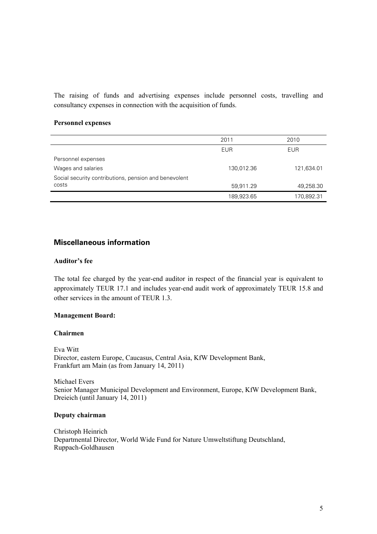The raising of funds and advertising expenses include personnel costs, travelling and consultancy expenses in connection with the acquisition of funds.

### **Personnel expenses**

|                                                       | 2011       | 2010       |
|-------------------------------------------------------|------------|------------|
|                                                       | <b>EUR</b> | <b>EUR</b> |
| Personnel expenses                                    |            |            |
| Wages and salaries                                    | 130,012.36 | 121,634.01 |
| Social security contributions, pension and benevolent |            |            |
| costs                                                 | 59,911.29  | 49,258.30  |
|                                                       | 189,923.65 | 170,892.31 |

## **Miscellaneous information**

### **Auditor's fee**

The total fee charged by the year-end auditor in respect of the financial year is equivalent to approximately TEUR 17.1 and includes year-end audit work of approximately TEUR 15.8 and other services in the amount of TEUR 1.3.

#### **Management Board:**

#### **Chairmen**

Eva Witt Director, eastern Europe, Caucasus, Central Asia, KfW Development Bank, Frankfurt am Main (as from January 14, 2011)

Michael Evers Senior Manager Municipal Development and Environment, Europe, KfW Development Bank, Dreieich (until January 14, 2011)

#### **Deputy chairman**

Christoph Heinrich Departmental Director, World Wide Fund for Nature Umweltstiftung Deutschland, Ruppach-Goldhausen